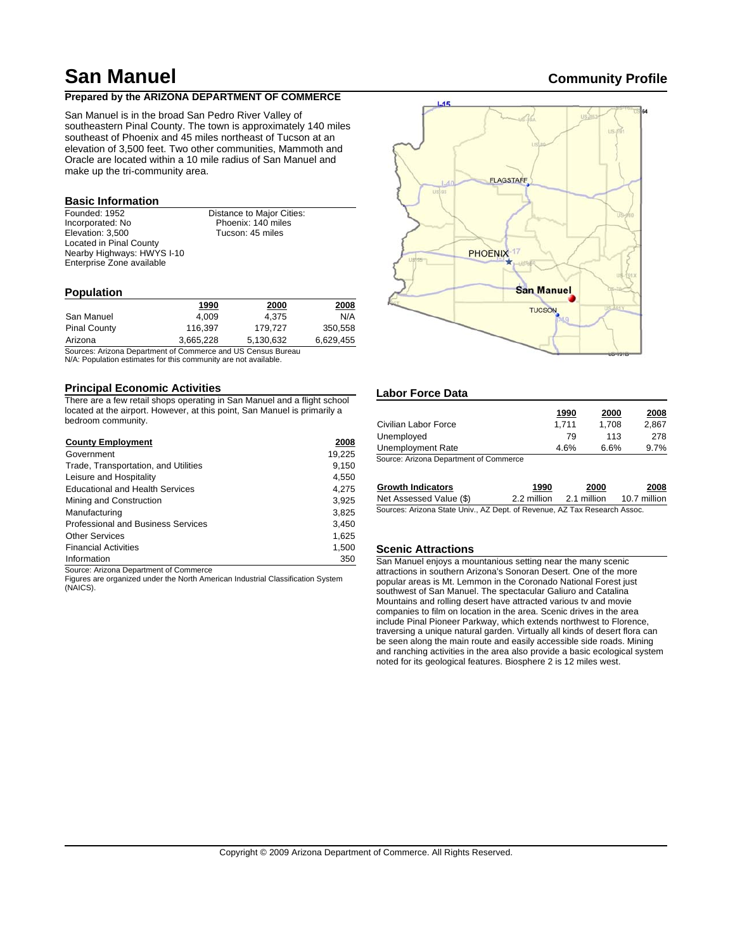# **San Manuel Community Profile**

# **Prepared by the ARIZONA DEPARTMENT OF COMMERCE**

San Manuel is in the broad San Pedro River Valley of southeastern Pinal County. The town is approximately 140 miles southeast of Phoenix and 45 miles northeast of Tucson at an elevation of 3,500 feet. Two other communities, Mammoth and Oracle are located within a 10 mile radius of San Manuel and make up the tri-community area.

# **Basic Information**

Founded: 1952 Incorporated: No Elevation: 3,500 Located in Pinal County Nearby Highways: HWYS I-10 Enterprise Zone available

Distance to Major Cities: Phoenix: 140 miles Tucson: 45 miles

# **Population**

|                     | 1990      | 2000      | 2008      |
|---------------------|-----------|-----------|-----------|
| San Manuel          | 4.009     | 4.375     | N/A       |
| <b>Pinal County</b> | 116.397   | 179.727   | 350.558   |
| Arizona             | 3,665,228 | 5,130,632 | 6,629,455 |

Sources: Arizona Department of Commerce and US Census Bureau N/A: Population estimates for this community are not available.

# **Principal Economic Activities**

There are a few retail shops operating in San Manuel and a flight school located at the airport. However, at this point, San Manuel is primarily a bedroom community.

| <b>County Employment</b>               | 2008   |
|----------------------------------------|--------|
| Government                             | 19,225 |
| Trade, Transportation, and Utilities   | 9,150  |
| Leisure and Hospitality                | 4.550  |
| <b>Educational and Health Services</b> | 4.275  |
| Mining and Construction                | 3.925  |
| Manufacturing                          | 3.825  |
| Professional and Business Services     | 3,450  |
| <b>Other Services</b>                  | 1.625  |
| <b>Financial Activities</b>            | 1,500  |
| Information                            | 350    |

Source: Arizona Department of Commerce

Figures are organized under the North American Industrial Classification System (NAICS).



# **Labor Force Data**

|                                       | 1990  | 2000  | 2008    |
|---------------------------------------|-------|-------|---------|
| Civilian Labor Force                  | 1.711 | 1.708 | 2.867   |
| Unemployed                            | 79    | 113   | 278     |
| Unemployment Rate                     | 4.6%  | 6.6%  | $9.7\%$ |
| Course Arizona Department of Commerce |       |       |         |

Source: Arizona Department of Commerce

| <b>Growth Indicators</b> | 1990                                                                                                                                                                                                                                                                                                                                                | 2000        | 2008         |
|--------------------------|-----------------------------------------------------------------------------------------------------------------------------------------------------------------------------------------------------------------------------------------------------------------------------------------------------------------------------------------------------|-------------|--------------|
| Net Assessed Value (\$)  | 2.2 million                                                                                                                                                                                                                                                                                                                                         | 2.1 million | 10.7 million |
| .                        | $\overline{a}$ , $\overline{a}$ , $\overline{a}$ , $\overline{a}$ , $\overline{a}$ , $\overline{a}$ , $\overline{a}$ , $\overline{a}$ , $\overline{a}$ , $\overline{a}$ , $\overline{a}$ , $\overline{a}$ , $\overline{a}$ , $\overline{a}$ , $\overline{a}$ , $\overline{a}$ , $\overline{a}$ , $\overline{a}$ , $\overline{a}$ , $\overline{a}$ , |             |              |

### Sources: Arizona State Univ., AZ Dept. of Revenue, AZ Tax Research Assoc.

#### **Scenic Attractions**

San Manuel enjoys a mountanious setting near the many scenic attractions in southern Arizona's Sonoran Desert. One of the more popular areas is Mt. Lemmon in the Coronado National Forest just southwest of San Manuel. The spectacular Galiuro and Catalina Mountains and rolling desert have attracted various tv and movie companies to film on location in the area. Scenic drives in the area include Pinal Pioneer Parkway, which extends northwest to Florence, traversing a unique natural garden. Virtually all kinds of desert flora can be seen along the main route and easily accessible side roads. Mining and ranching activities in the area also provide a basic ecological system noted for its geological features. Biosphere 2 is 12 miles west.